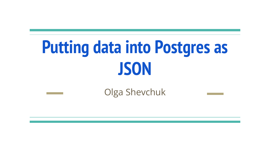# **Putting data into Postgres as JSON**

### Olga Shevchuk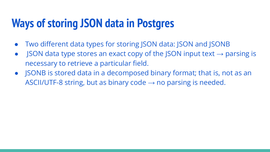# **Ways of storing JSON data in Postgres**

- Two different data types for storing JSON data: JSON and JSONB
- JSON data type stores an exact copy of the JSON input text  $\rightarrow$  parsing is necessary to retrieve a particular field.
- JSONB is stored data in a decomposed binary format; that is, not as an ASCII/UTF-8 string, but as binary code  $\rightarrow$  no parsing is needed.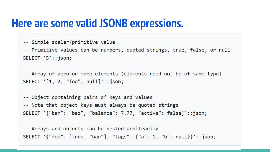### **Here are some valid JSONB expressions.**

- -- Simple scalar/primitive value
- -- Primitive values can be numbers, quoted strings, true, false, or null SELECT '5'::json;

-- Array of zero or more elements (elements need not be of same type) SELECT  $'[1, 2, "foo", null]': json;$ 

-- Object containing pairs of keys and values -- Note that object keys must always be quoted strings SELECT '{"bar": "baz", "balance": 7.77, "active": false}'::json;

-- Arrays and objects can be nested arbitrarily SELECT '{"foo": [true, "bar"], "tags": {"a": 1, "b": null}}'::json;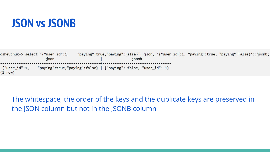### **JSON vs JSONB**

oshevchuk=> select '{"user\_id":1, "paying":true,"paying":false}'::json, '{"user\_id":1, "paying":true, "paying":false}'::jsonb; json jsonb {"user\_id":1, "paying":true,"paying":false} | {"paying": false, "user\_id": 1}  $(1 row)$ 

The whitespace, the order of the keys and the duplicate keys are preserved in the JSON column but not in the JSONB column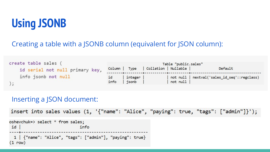# **Using JSONB**

#### Creating a table with a JSONB column (equivalent for JSON column):

| create table sales (            | Table "public.sales" |                  |                                      |          |                                              |
|---------------------------------|----------------------|------------------|--------------------------------------|----------|----------------------------------------------|
| id serial not null primary key, |                      |                  | Column   Type   Collation   Nullable |          | Default                                      |
| info jsonb not null             | id<br>info           | integer<br>jsonb |                                      | not null | not null   nextval('sales_id_seq'::regclass) |

#### Inserting a JSON document:

```
insert into sales values (1, '{"name": "Alice", "paying": true, "tags": ["admin"]}');
oshevchuk=> select * from sales;
idinfo
```

```
1 | {"name": "Alice", "tags": ["admin"], "paying": true}
(1 row)
```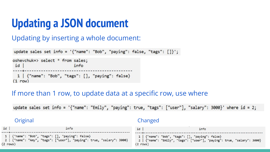# **Updating a JSON document**

#### Updating by inserting a whole document:

```
update sales set info = '{"name": "Bob", "paying": false, "tags": []}';
oshevchuk=> select * from sales;
 idinfo
 1 | {"name": "Bob", "tags": [], "paying": false}
(1 row)
```
#### If more than 1 row, to update data at a specific row, use where

update sales set info = '{"name": "Emily", "paying": true, "tags": ["user"], "salary": 3000}' where id = 2;

| Original                                                              | Changed                                                                 |
|-----------------------------------------------------------------------|-------------------------------------------------------------------------|
| id                                                                    | id                                                                      |
| info                                                                  | info                                                                    |
| 1   {"name": "Bob", "tags": [], "paying": false}                      | 1   {"name": "Bob", "tags": [], "paying": false}                        |
| 2   {"name": "Amy", "tags": ["user"], "paying": true, "salary": 3000} | 2   {"name": "Emily", "tags": ["user"], "paying": true, "salary": 3000} |
| $(2$ rows)                                                            | $(2$ rows)                                                              |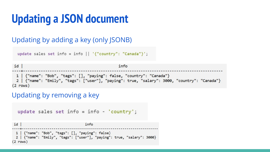# **Updating a JSON document**

#### Updating by adding a key (only JSONB)

```
update sales set info = info || \nmid "{"country": "Canada"}';
```
 $id$ info 1 | {"name": "Bob", "tags": [], "paying": false, "country": "Canada"} 2 | {"name": "Emily", "tags": ["user"], "paying": true, "salary": 3000, "country": "Canada"}  $(2$  rows)

#### Updating by removing a key

```
update sales set info = info - 'country';idinfo
 1 | {"name": "Bob", "tags": [], "paying": false}
 2 | {"name": "Emily", "tags": ["user"], "paying": true, "salary": 3000}
(2 rows)
```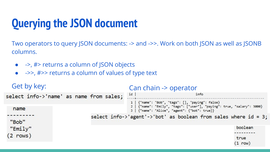# **Querying the JSON document**

Two operators to query JSON documents: -> and ->>. Work on both JSON as well as JSONB columns.

- $\bullet$   $\rightarrow$ ,  $\#$  returns a column of ISON objects
- $\rightarrow$   $\rightarrow$   $\rightarrow$   $\rightarrow$  returns a column of values of type text

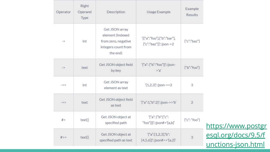| Operator      | Right<br>Operand<br>Type | Description                                                                                  | Usage Example                                                   | Example<br><b>Results</b> |                   |
|---------------|--------------------------|----------------------------------------------------------------------------------------------|-----------------------------------------------------------------|---------------------------|-------------------|
| $\rightarrow$ | int                      | Get JSON array<br>element (indexed<br>from zero, negative<br>integers count from<br>the end) | '[{"a":"foo"},{"b":"bar"},<br>{"c":"baz"}]'::json->2            | ${^nC}$ ":"baz"}          |                   |
| $\rightarrow$ | text                     | Get JSON object field<br>by key                                                              | '{"a": {"b":"foo"}}'::json-<br>> a'                             | {"b":"foo"}               |                   |
| $->$          | int                      | Get JSON array<br>element as text                                                            | $'[1,2,3]$ "::json->>2                                          | 3                         |                   |
| $->>$         | text                     | Get JSON object field<br>as text                                                             | '{"a":1,"b":2}'::json->>'b'                                     | $\overline{2}$            |                   |
| #>            | text[]                   | Get JSON object at<br>specified path                                                         | $T^{a}a$ ": $T^{a}b$ ": $T^{a}c$ ":<br>"foo"}}}'::json#>'{a,b}' | ${^nC}$ ": "foo"}         | <u>httr</u>       |
| #>>           | text[]                   | Get JSON object at<br>specified path as text                                                 | "[a":[1,2,3],"b":<br>$[4,5,6]$ '::json#>>'{a,2}'                | 3                         | <u>esq</u><br>unc |

ps://www.postgr pl.org/docs/9.5/f <mark>tions-json.html</mark>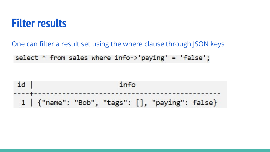### **Filter results**

One can filter a result set using the where clause through JSON keys

select  $*$  from sales where  $info->' paying' = 'false';$ 

id info ---------------------------- $1 \mid \{$ "name": "Bob", "tags":  $[]$ , "paying": false}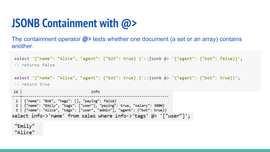# **JSONB Containment with @>**

The containment operator **@>** tests whether one document (a set or an array) contains another.

```
select '{"name": "Alice", "agent": {"bot": true} }'::jsonb @> '{"agent": {"bot": false}}';
-- returns false
select '{"name": "Alice", "agent": {"bot": true} }'::jsonb @> '{"agent": {"bot": true}}';
-- return true
idinfo
 1 | {"name": "Bob", "tags": [], "paying": false}
 2 | {"name": "Emily", "tags": ["user"], "paying": true, "salary": 3000}
 3 | {"name": "Alice", "tags": ["user", "admin"], "agent": {"bot": true}}
select info->'name' from sales where info->'tags' @> '["user"]';
```
"Emily" "Alice"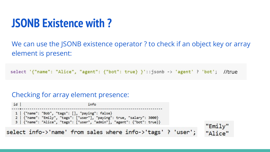### **JSONB Existence with ?**

We can use the JSONB existence operator ? to check if an object key or array element is present:

select '{"name": "Alice", "agent": {"bot": true} }'::jsonb -> 'agent' ? 'bot'; //true

#### Checking for array element presence:

 $id$ info 1 | {"name": "Bob", "tags": [], "paying": false} 2 | {"name": "Emily", "tags": ["user"], "paying": true, "salary": 3000} 3 | {"name": "Alice", "tags": ["user", "admin"], "agent": {"bot": true}}

select info->'name' from sales where info->'tags' ? 'user';

"Emily" "Alice"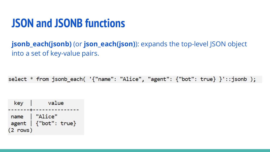**jsonb\_each(jsonb)** (or **json\_each(json)**): expands the top-level JSON object into a set of key-value pairs.

select \* from jsonb\_each( '{"name": "Alice", "agent": {"bot": true} }'::jsonb );

| key        | value                                                                                                                                  |
|------------|----------------------------------------------------------------------------------------------------------------------------------------|
|            | <b>AND RESIDENTS OF A STATE OF A STATE OF A STATE OF A STATE OF A STATE OF A STATE OF A STATE OF A STATE OF A ST</b><br>name   "Alice" |
|            | agent $\{$ "bot": true}                                                                                                                |
| $(2$ rows) |                                                                                                                                        |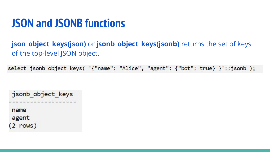**json\_object\_keys(json)** or **jsonb\_object\_keys(jsonb)** returns the set of keys of the top-level JSON object.

select jsonb\_object\_keys( '{"name": "Alice", "agent": {"bot": true} }'::jsonb );

```
jsonb_object_keys
name
agent
(2 \text{ rows})
```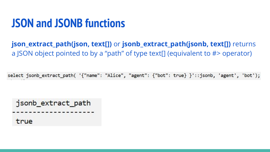**json\_extract\_path(json, text[])** or **jsonb\_extract\_path(jsonb, text[])** returns a JSON object pointed to by a "path" of type text[] (equivalent to #> operator)

select jsonb\_extract\_path( '{"name": "Alice", "agent": {"bot": true} }'::jsonb, 'agent', 'bot');

jsonb extract path true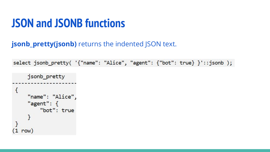#### **jsonb\_pretty(jsonb)** returns the indented JSON text.

select jsonb\_pretty( '{"name": "Alice", "agent": {"bot": true} }'::jsonb );

```
jsonb pretty
\overline{\mathcal{L}}"name": "Alice",
     "agent": \{"bot": true
     }
  row)
```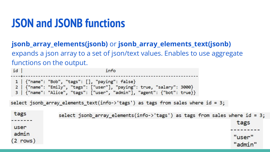### **jsonb\_array\_elements(jsonb)** or **jsonb\_array\_elements\_text(jsonb)**  expands a json array to a set of json/text values. Enables to use aggregate functions on the output.

```
idinfo
 1 | {"name": "Bob", "tags": [], "paying": false}
   | {"name": "Emily", "tags": ["user"], "paying": true, "salary": 3000}
 \overline{2}3 | {"name": "Alice", "tags": ["user", "admin"], "agent": {"bot": true}}
select jsonb_array_elements_text(info->'tags') as tags from sales where id = 3;
 tags
                  select jsonb array elements(info->'tags') as tags from sales where id = 3;
                                                                                       tags
 user
 admin
                                                                                      "user"
(2 rows)
                                                                                      "admin"
```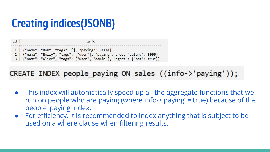# **Creating indices(JSONB)**

id info 1 | {"name": "Bob", "tags": [], "paying": false} 2 | {"name": "Emily", "tags": ["user"], "paying": true, "salary": 3000} 3 | {"name": "Alice", "tags": ["user", "admin"], "agent": {"bot": true}}

### CREATE INDEX people paying ON sales ((info->'paying'));

- This index will automatically speed up all the aggregate functions that we run on people who are paying (where info->'paying' = true) because of the people\_paying index.
- For efficiency, it is recommended to index anything that is subject to be used on a where clause when filtering results.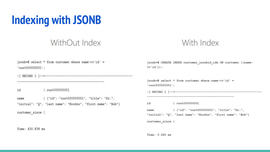# **Indexing with JSONB**

### WithOut Index

#### With Index

| jsonb=# select * from customer where name- $>> 'id' =$<br>'cut000000001' | jsonb=# CREATE INDEX customer jsonbid idx ON customer ((name-<br>$>>'id')$ ;                                   |
|--------------------------------------------------------------------------|----------------------------------------------------------------------------------------------------------------|
|                                                                          |                                                                                                                |
|                                                                          | jsonb=# select * from customer where name->>'id' =<br>$'cust000000001$ ;                                       |
| id<br>cust000000001                                                      |                                                                                                                |
| {"id": "cust000000001", "title": "Dr.",<br>name                          |                                                                                                                |
| "initial": "Q", "last name": "Kordon", "first name": "Bob"}              | cust000000001<br>id                                                                                            |
| customer since                                                           | {"id": "cust000000001", "title": "Dr.",<br>name<br>"initial": "Q", "last name": "Kordon", "first name": "Bob"} |
|                                                                          | customer since                                                                                                 |
| Time: 430.838 ms                                                         |                                                                                                                |
|                                                                          | Time: 0.640 ms                                                                                                 |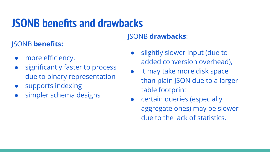# **JSONB benefits and drawbacks**

### JSONB **benefits:**

- more efficiency,
- significantly faster to process due to binary representation
- supports indexing
- simpler schema designs

#### JSONB **drawbacks**:

- slightly slower input (due to added conversion overhead),
- it may take more disk space than plain JSON due to a larger table footprint
- certain queries (especially aggregate ones) may be slower due to the lack of statistics.